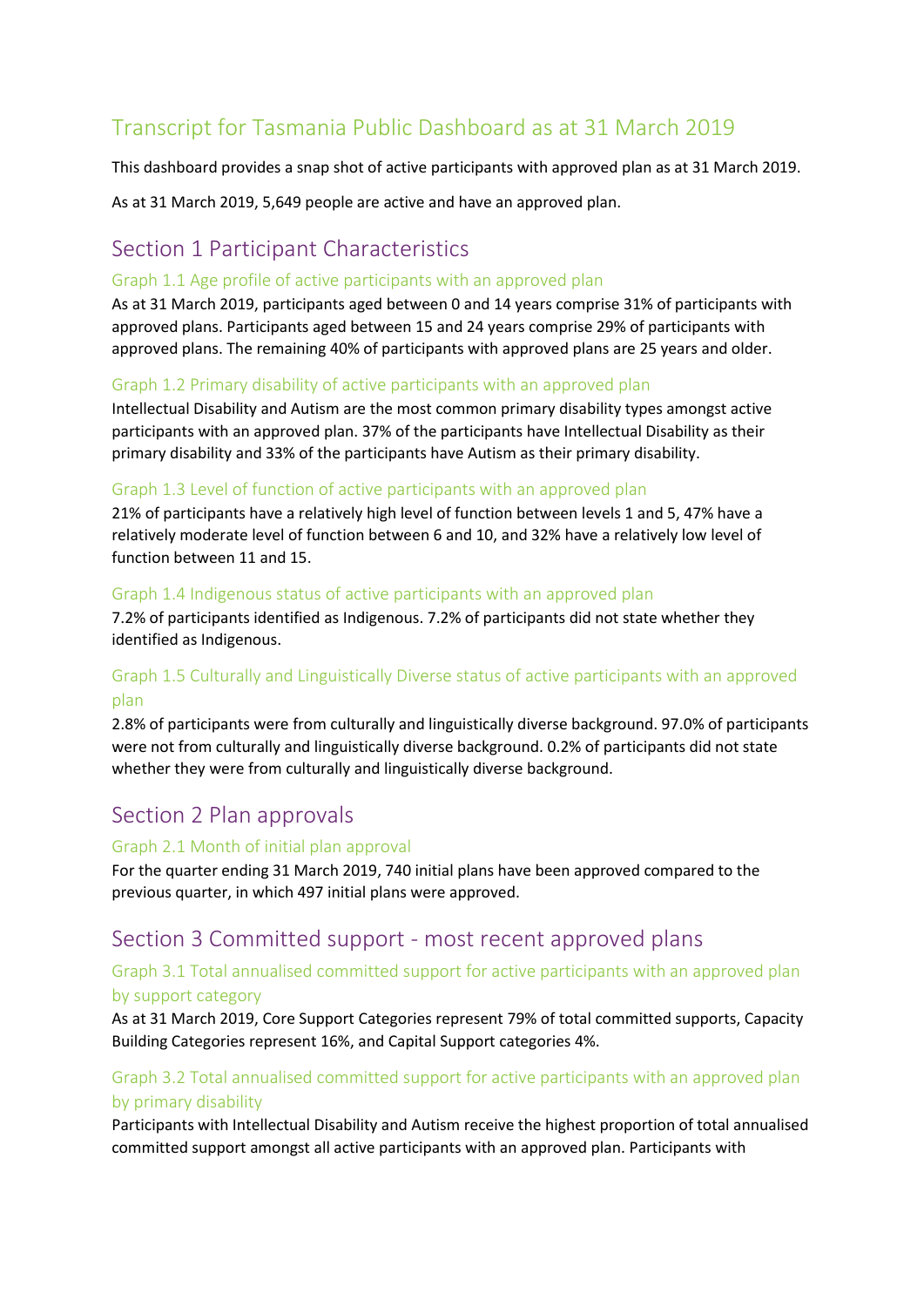# Transcript for Tasmania Public Dashboard as at 31 March 2019

This dashboard provides a snap shot of active participants with approved plan as at 31 March 2019.

As at 31 March 2019, 5,649 people are active and have an approved plan.

## Section 1 Participant Characteristics

#### Graph 1.1 Age profile of active participants with an approved plan

As at 31 March 2019, participants aged between 0 and 14 years comprise 31% of participants with approved plans. Participants aged between 15 and 24 years comprise 29% of participants with approved plans. The remaining 40% of participants with approved plans are 25 years and older.

#### Graph 1.2 Primary disability of active participants with an approved plan

Intellectual Disability and Autism are the most common primary disability types amongst active participants with an approved plan. 37% of the participants have Intellectual Disability as their primary disability and 33% of the participants have Autism as their primary disability.

#### Graph 1.3 Level of function of active participants with an approved plan

21% of participants have a relatively high level of function between levels 1 and 5, 47% have a relatively moderate level of function between 6 and 10, and 32% have a relatively low level of function between 11 and 15.

#### Graph 1.4 Indigenous status of active participants with an approved plan

7.2% of participants identified as Indigenous. 7.2% of participants did not state whether they identified as Indigenous.

## Graph 1.5 Culturally and Linguistically Diverse status of active participants with an approved plan

2.8% of participants were from culturally and linguistically diverse background. 97.0% of participants were not from culturally and linguistically diverse background. 0.2% of participants did not state whether they were from culturally and linguistically diverse background.

## Section 2 Plan approvals

#### Graph 2.1 Month of initial plan approval

For the quarter ending 31 March 2019, 740 initial plans have been approved compared to the previous quarter, in which 497 initial plans were approved.

## Section 3 Committed support - most recent approved plans

#### Graph 3.1 Total annualised committed support for active participants with an approved plan by support category

As at 31 March 2019, Core Support Categories represent 79% of total committed supports, Capacity Building Categories represent 16%, and Capital Support categories 4%.

## Graph 3.2 Total annualised committed support for active participants with an approved plan by primary disability

Participants with Intellectual Disability and Autism receive the highest proportion of total annualised committed support amongst all active participants with an approved plan. Participants with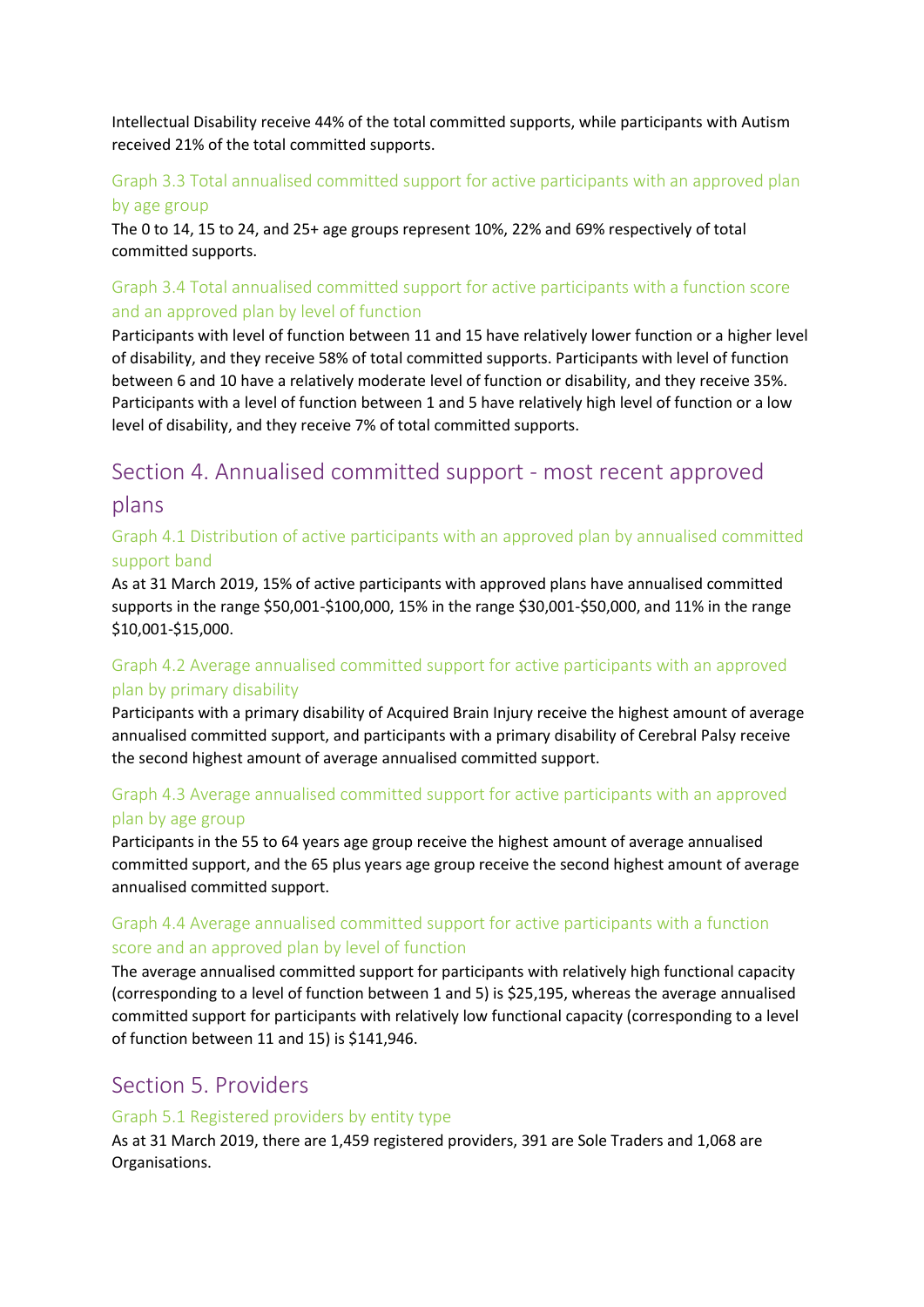Intellectual Disability receive 44% of the total committed supports, while participants with Autism received 21% of the total committed supports.

### Graph 3.3 Total annualised committed support for active participants with an approved plan by age group

The 0 to 14, 15 to 24, and 25+ age groups represent 10%, 22% and 69% respectively of total committed supports.

## Graph 3.4 Total annualised committed support for active participants with a function score and an approved plan by level of function

Participants with level of function between 11 and 15 have relatively lower function or a higher level of disability, and they receive 58% of total committed supports. Participants with level of function between 6 and 10 have a relatively moderate level of function or disability, and they receive 35%. Participants with a level of function between 1 and 5 have relatively high level of function or a low level of disability, and they receive 7% of total committed supports.

# Section 4. Annualised committed support - most recent approved plans

### Graph 4.1 Distribution of active participants with an approved plan by annualised committed support band

As at 31 March 2019, 15% of active participants with approved plans have annualised committed supports in the range \$50,001-\$100,000, 15% in the range \$30,001-\$50,000, and 11% in the range \$10,001-\$15,000.

## Graph 4.2 Average annualised committed support for active participants with an approved plan by primary disability

Participants with a primary disability of Acquired Brain Injury receive the highest amount of average annualised committed support, and participants with a primary disability of Cerebral Palsy receive the second highest amount of average annualised committed support.

## Graph 4.3 Average annualised committed support for active participants with an approved plan by age group

Participants in the 55 to 64 years age group receive the highest amount of average annualised committed support, and the 65 plus years age group receive the second highest amount of average annualised committed support.

## Graph 4.4 Average annualised committed support for active participants with a function score and an approved plan by level of function

The average annualised committed support for participants with relatively high functional capacity (corresponding to a level of function between 1 and 5) is \$25,195, whereas the average annualised committed support for participants with relatively low functional capacity (corresponding to a level of function between 11 and 15) is \$141,946.

## Section 5. Providers

#### Graph 5.1 Registered providers by entity type

As at 31 March 2019, there are 1,459 registered providers, 391 are Sole Traders and 1,068 are Organisations.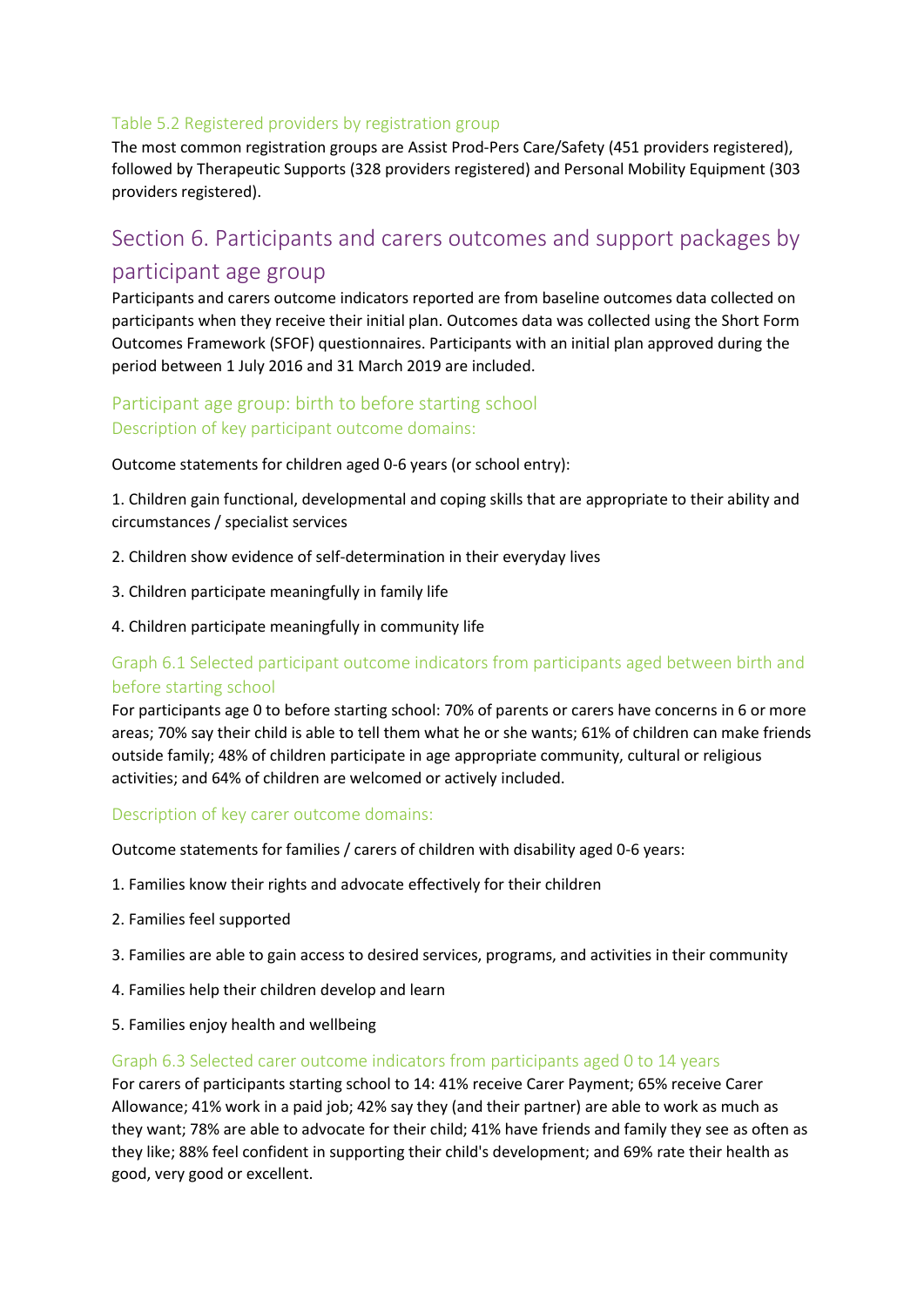#### Table 5.2 Registered providers by registration group

The most common registration groups are Assist Prod-Pers Care/Safety (451 providers registered), followed by Therapeutic Supports (328 providers registered) and Personal Mobility Equipment (303 providers registered).

# Section 6. Participants and carers outcomes and support packages by participant age group

Participants and carers outcome indicators reported are from baseline outcomes data collected on participants when they receive their initial plan. Outcomes data was collected using the Short Form Outcomes Framework (SFOF) questionnaires. Participants with an initial plan approved during the period between 1 July 2016 and 31 March 2019 are included.

## Participant age group: birth to before starting school Description of key participant outcome domains:

Outcome statements for children aged 0-6 years (or school entry):

1. Children gain functional, developmental and coping skills that are appropriate to their ability and circumstances / specialist services

- 2. Children show evidence of self-determination in their everyday lives
- 3. Children participate meaningfully in family life
- 4. Children participate meaningfully in community life

## Graph 6.1 Selected participant outcome indicators from participants aged between birth and before starting school

For participants age 0 to before starting school: 70% of parents or carers have concerns in 6 or more areas; 70% say their child is able to tell them what he or she wants; 61% of children can make friends outside family; 48% of children participate in age appropriate community, cultural or religious activities; and 64% of children are welcomed or actively included.

#### Description of key carer outcome domains:

Outcome statements for families / carers of children with disability aged 0-6 years:

- 1. Families know their rights and advocate effectively for their children
- 2. Families feel supported
- 3. Families are able to gain access to desired services, programs, and activities in their community
- 4. Families help their children develop and learn
- 5. Families enjoy health and wellbeing

#### Graph 6.3 Selected carer outcome indicators from participants aged 0 to 14 years

For carers of participants starting school to 14: 41% receive Carer Payment; 65% receive Carer Allowance; 41% work in a paid job; 42% say they (and their partner) are able to work as much as they want; 78% are able to advocate for their child; 41% have friends and family they see as often as they like; 88% feel confident in supporting their child's development; and 69% rate their health as good, very good or excellent.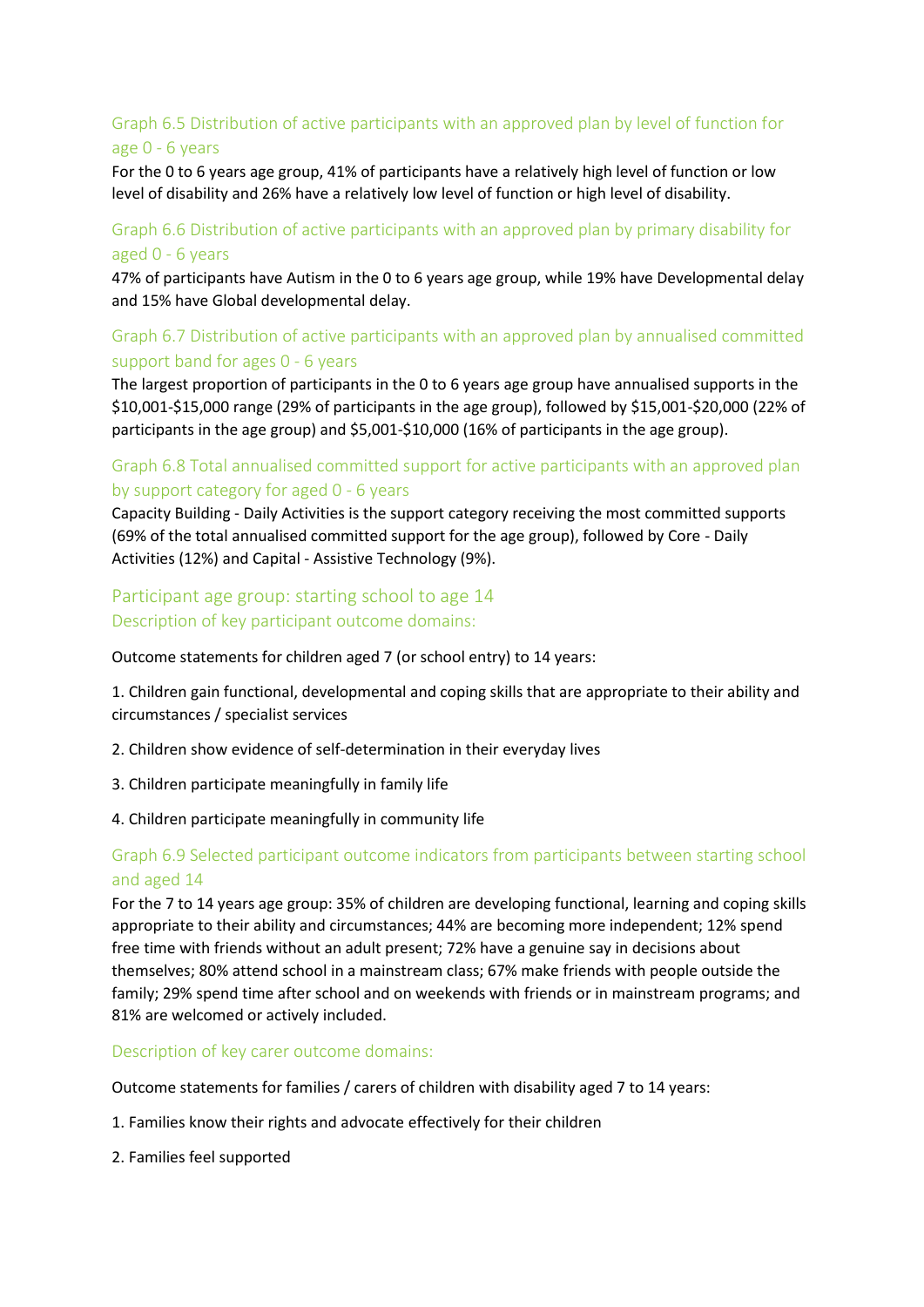## Graph 6.5 Distribution of active participants with an approved plan by level of function for age 0 - 6 years

For the 0 to 6 years age group, 41% of participants have a relatively high level of function or low level of disability and 26% have a relatively low level of function or high level of disability.

### Graph 6.6 Distribution of active participants with an approved plan by primary disability for aged 0 - 6 years

47% of participants have Autism in the 0 to 6 years age group, while 19% have Developmental delay and 15% have Global developmental delay.

## Graph 6.7 Distribution of active participants with an approved plan by annualised committed support band for ages 0 - 6 years

The largest proportion of participants in the 0 to 6 years age group have annualised supports in the \$10,001-\$15,000 range (29% of participants in the age group), followed by \$15,001-\$20,000 (22% of participants in the age group) and \$5,001-\$10,000 (16% of participants in the age group).

#### Graph 6.8 Total annualised committed support for active participants with an approved plan by support category for aged 0 - 6 years

Capacity Building - Daily Activities is the support category receiving the most committed supports (69% of the total annualised committed support for the age group), followed by Core - Daily Activities (12%) and Capital - Assistive Technology (9%).

### Participant age group: starting school to age 14 Description of key participant outcome domains:

Outcome statements for children aged 7 (or school entry) to 14 years:

1. Children gain functional, developmental and coping skills that are appropriate to their ability and circumstances / specialist services

- 2. Children show evidence of self-determination in their everyday lives
- 3. Children participate meaningfully in family life
- 4. Children participate meaningfully in community life

#### Graph 6.9 Selected participant outcome indicators from participants between starting school and aged 14

For the 7 to 14 years age group: 35% of children are developing functional, learning and coping skills appropriate to their ability and circumstances; 44% are becoming more independent; 12% spend free time with friends without an adult present; 72% have a genuine say in decisions about themselves; 80% attend school in a mainstream class; 67% make friends with people outside the family; 29% spend time after school and on weekends with friends or in mainstream programs; and 81% are welcomed or actively included.

Description of key carer outcome domains:

Outcome statements for families / carers of children with disability aged 7 to 14 years:

- 1. Families know their rights and advocate effectively for their children
- 2. Families feel supported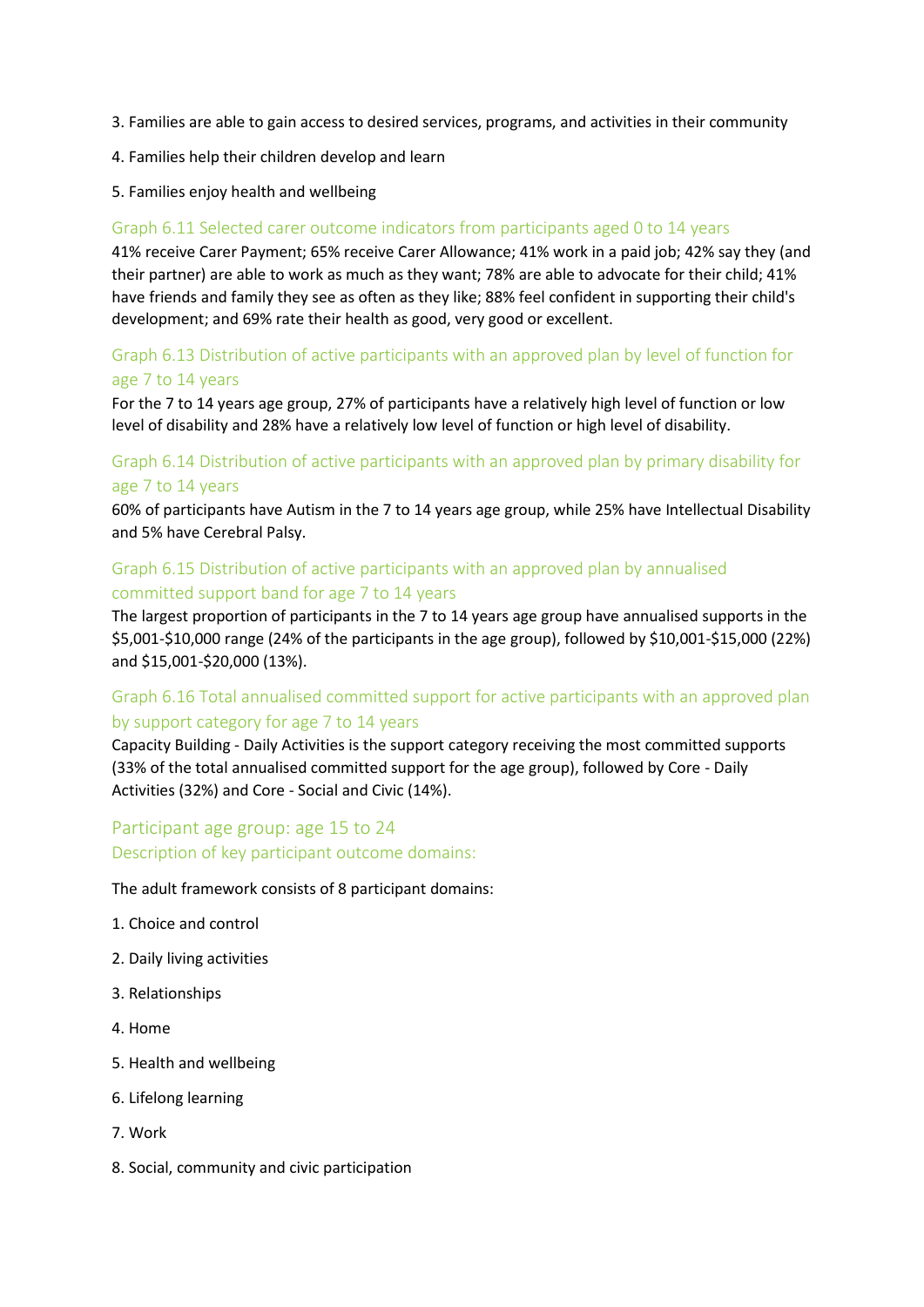- 3. Families are able to gain access to desired services, programs, and activities in their community
- 4. Families help their children develop and learn
- 5. Families enjoy health and wellbeing

#### Graph 6.11 Selected carer outcome indicators from participants aged 0 to 14 years

41% receive Carer Payment; 65% receive Carer Allowance; 41% work in a paid job; 42% say they (and their partner) are able to work as much as they want; 78% are able to advocate for their child; 41% have friends and family they see as often as they like; 88% feel confident in supporting their child's development; and 69% rate their health as good, very good or excellent.

#### Graph 6.13 Distribution of active participants with an approved plan by level of function for age 7 to 14 years

For the 7 to 14 years age group, 27% of participants have a relatively high level of function or low level of disability and 28% have a relatively low level of function or high level of disability.

### Graph 6.14 Distribution of active participants with an approved plan by primary disability for age 7 to 14 years

60% of participants have Autism in the 7 to 14 years age group, while 25% have Intellectual Disability and 5% have Cerebral Palsy.

#### Graph 6.15 Distribution of active participants with an approved plan by annualised committed support band for age 7 to 14 years

The largest proportion of participants in the 7 to 14 years age group have annualised supports in the \$5,001-\$10,000 range (24% of the participants in the age group), followed by \$10,001-\$15,000 (22%) and \$15,001-\$20,000 (13%).

## Graph 6.16 Total annualised committed support for active participants with an approved plan by support category for age 7 to 14 years

Capacity Building - Daily Activities is the support category receiving the most committed supports (33% of the total annualised committed support for the age group), followed by Core - Daily Activities (32%) and Core - Social and Civic (14%).

## Participant age group: age 15 to 24 Description of key participant outcome domains:

The adult framework consists of 8 participant domains:

- 1. Choice and control
- 2. Daily living activities
- 3. Relationships
- 4. Home
- 5. Health and wellbeing
- 6. Lifelong learning
- 7. Work
- 8. Social, community and civic participation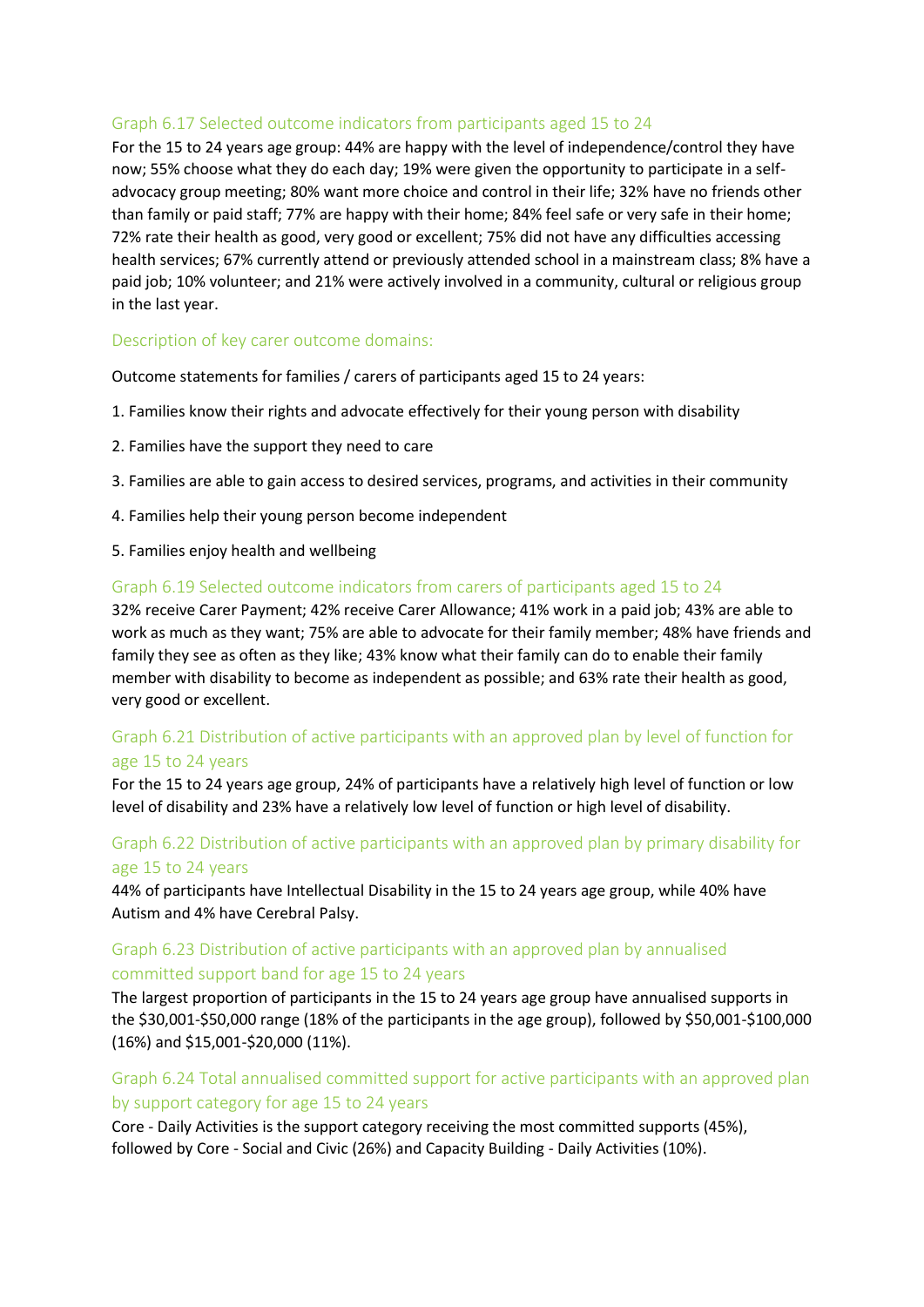#### Graph 6.17 Selected outcome indicators from participants aged 15 to 24

For the 15 to 24 years age group: 44% are happy with the level of independence/control they have now; 55% choose what they do each day; 19% were given the opportunity to participate in a selfadvocacy group meeting; 80% want more choice and control in their life; 32% have no friends other than family or paid staff; 77% are happy with their home; 84% feel safe or very safe in their home; 72% rate their health as good, very good or excellent; 75% did not have any difficulties accessing health services; 67% currently attend or previously attended school in a mainstream class; 8% have a paid job; 10% volunteer; and 21% were actively involved in a community, cultural or religious group in the last year.

#### Description of key carer outcome domains:

Outcome statements for families / carers of participants aged 15 to 24 years:

- 1. Families know their rights and advocate effectively for their young person with disability
- 2. Families have the support they need to care
- 3. Families are able to gain access to desired services, programs, and activities in their community
- 4. Families help their young person become independent
- 5. Families enjoy health and wellbeing

#### Graph 6.19 Selected outcome indicators from carers of participants aged 15 to 24

32% receive Carer Payment; 42% receive Carer Allowance; 41% work in a paid job; 43% are able to work as much as they want; 75% are able to advocate for their family member; 48% have friends and family they see as often as they like; 43% know what their family can do to enable their family member with disability to become as independent as possible; and 63% rate their health as good, very good or excellent.

#### Graph 6.21 Distribution of active participants with an approved plan by level of function for age 15 to 24 years

For the 15 to 24 years age group, 24% of participants have a relatively high level of function or low level of disability and 23% have a relatively low level of function or high level of disability.

#### Graph 6.22 Distribution of active participants with an approved plan by primary disability for age 15 to 24 years

44% of participants have Intellectual Disability in the 15 to 24 years age group, while 40% have Autism and 4% have Cerebral Palsy.

#### Graph 6.23 Distribution of active participants with an approved plan by annualised committed support band for age 15 to 24 years

The largest proportion of participants in the 15 to 24 years age group have annualised supports in the \$30,001-\$50,000 range (18% of the participants in the age group), followed by \$50,001-\$100,000 (16%) and \$15,001-\$20,000 (11%).

#### Graph 6.24 Total annualised committed support for active participants with an approved plan by support category for age 15 to 24 years

Core - Daily Activities is the support category receiving the most committed supports (45%), followed by Core - Social and Civic (26%) and Capacity Building - Daily Activities (10%).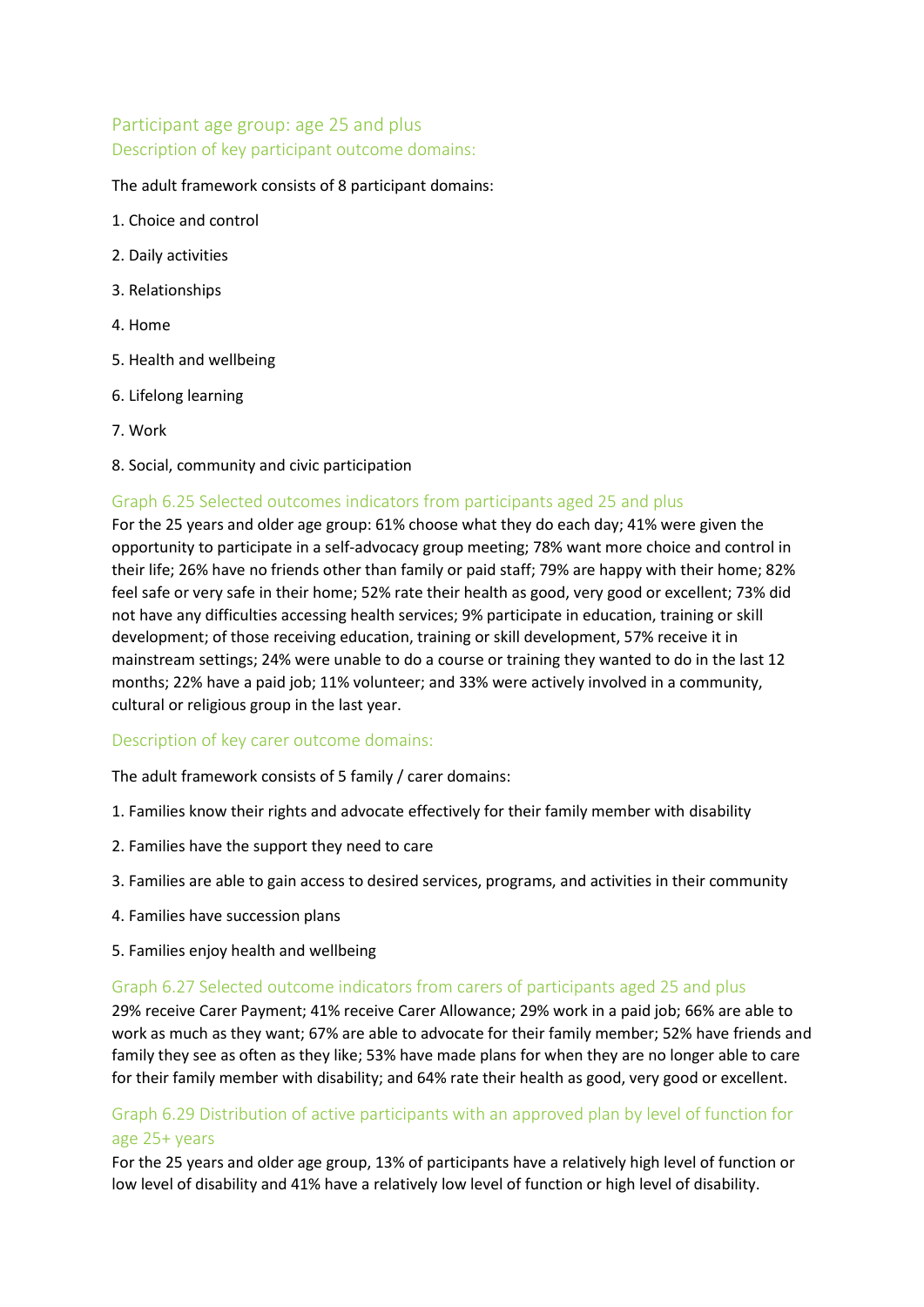## Participant age group: age 25 and plus Description of key participant outcome domains:

The adult framework consists of 8 participant domains:

- 1. Choice and control
- 2. Daily activities
- 3. Relationships
- 4. Home
- 5. Health and wellbeing
- 6. Lifelong learning
- 7. Work
- 8. Social, community and civic participation

#### Graph 6.25 Selected outcomes indicators from participants aged 25 and plus

For the 25 years and older age group: 61% choose what they do each day; 41% were given the opportunity to participate in a self-advocacy group meeting; 78% want more choice and control in their life; 26% have no friends other than family or paid staff; 79% are happy with their home; 82% feel safe or very safe in their home; 52% rate their health as good, very good or excellent; 73% did not have any difficulties accessing health services; 9% participate in education, training or skill development; of those receiving education, training or skill development, 57% receive it in mainstream settings; 24% were unable to do a course or training they wanted to do in the last 12 months; 22% have a paid job; 11% volunteer; and 33% were actively involved in a community, cultural or religious group in the last year.

#### Description of key carer outcome domains:

The adult framework consists of 5 family / carer domains:

- 1. Families know their rights and advocate effectively for their family member with disability
- 2. Families have the support they need to care
- 3. Families are able to gain access to desired services, programs, and activities in their community
- 4. Families have succession plans
- 5. Families enjoy health and wellbeing

#### Graph 6.27 Selected outcome indicators from carers of participants aged 25 and plus

29% receive Carer Payment; 41% receive Carer Allowance; 29% work in a paid job; 66% are able to work as much as they want; 67% are able to advocate for their family member; 52% have friends and family they see as often as they like; 53% have made plans for when they are no longer able to care for their family member with disability; and 64% rate their health as good, very good or excellent.

#### Graph 6.29 Distribution of active participants with an approved plan by level of function for age 25+ years

For the 25 years and older age group, 13% of participants have a relatively high level of function or low level of disability and 41% have a relatively low level of function or high level of disability.